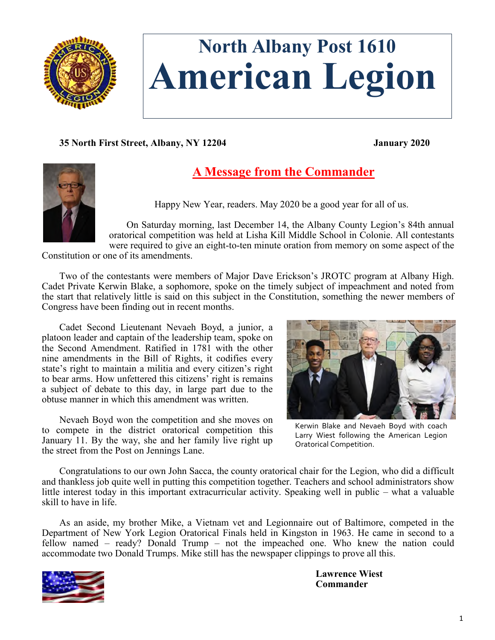

# **North Albany Post 1610 American Legion**

**35 North First Street, Albany, NY 12204 January 2020**



# **A Message from the Commander**

Happy New Year, readers. May 2020 be a good year for all of us.

On Saturday morning, last December 14, the Albany County Legion's 84th annual oratorical competition was held at Lisha Kill Middle School in Colonie. All contestants were required to give an eight-to-ten minute oration from memory on some aspect of the

Constitution or one of its amendments.

Two of the contestants were members of Major Dave Erickson's JROTC program at Albany High. Cadet Private Kerwin Blake, a sophomore, spoke on the timely subject of impeachment and noted from the start that relatively little is said on this subject in the Constitution, something the newer members of Congress have been finding out in recent months.

Cadet Second Lieutenant Nevaeh Boyd, a junior, a platoon leader and captain of the leadership team, spoke on the Second Amendment. Ratified in 1781 with the other nine amendments in the Bill of Rights, it codifies every state's right to maintain a militia and every citizen's right to bear arms. How unfettered this citizens' right is remains a subject of debate to this day, in large part due to the obtuse manner in which this amendment was written.

Nevaeh Boyd won the competition and she moves on to compete in the district oratorical competition this January 11. By the way, she and her family live right up the street from the Post on Jennings Lane.



Kerwin Blake and Nevaeh Boyd with coach Larry Wiest following the American Legion Oratorical Competition.

Congratulations to our own John Sacca, the county oratorical chair for the Legion, who did a difficult and thankless job quite well in putting this competition together. Teachers and school administrators show little interest today in this important extracurricular activity. Speaking well in public – what a valuable skill to have in life.

As an aside, my brother Mike, a Vietnam vet and Legionnaire out of Baltimore, competed in the Department of New York Legion Oratorical Finals held in Kingston in 1963. He came in second to a fellow named – ready? Donald Trump – not the impeached one. Who knew the nation could accommodate two Donald Trumps. Mike still has the newspaper clippings to prove all this.



**Lawrence Wiest Commander**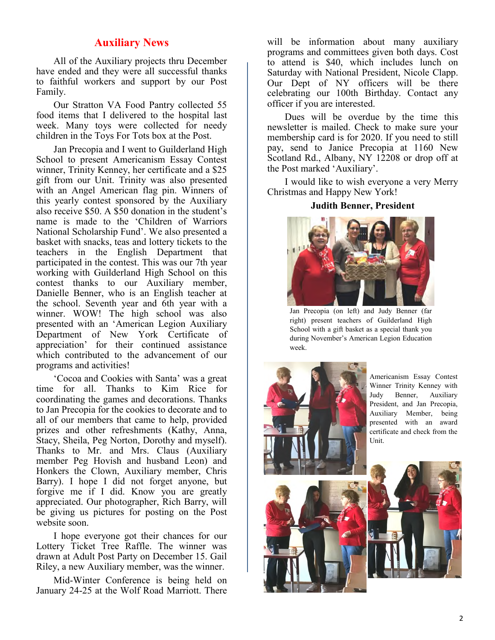# **Auxiliary News**

All of the Auxiliary projects thru December have ended and they were all successful thanks to faithful workers and support by our Post Family.

Our Stratton VA Food Pantry collected 55 food items that I delivered to the hospital last week. Many toys were collected for needy children in the Toys For Tots box at the Post.

Jan Precopia and I went to Guilderland High School to present Americanism Essay Contest winner, Trinity Kenney, her certificate and a \$25 gift from our Unit. Trinity was also presented with an Angel American flag pin. Winners of this yearly contest sponsored by the Auxiliary also receive \$50. A \$50 donation in the student's name is made to the 'Children of Warriors National Scholarship Fund'. We also presented a basket with snacks, teas and lottery tickets to the teachers in the English Department that participated in the contest. This was our 7th year working with Guilderland High School on this contest thanks to our Auxiliary member, Danielle Benner, who is an English teacher at the school. Seventh year and 6th year with a winner. WOW! The high school was also presented with an 'American Legion Auxiliary Department of New York Certificate of appreciation' for their continued assistance which contributed to the advancement of our programs and activities!

'Cocoa and Cookies with Santa' was a great time for all. Thanks to Kim Rice for coordinating the games and decorations. Thanks to Jan Precopia for the cookies to decorate and to all of our members that came to help, provided prizes and other refreshments (Kathy, Anna, Stacy, Sheila, Peg Norton, Dorothy and myself). Thanks to Mr. and Mrs. Claus (Auxiliary member Peg Hovish and husband Leon) and Honkers the Clown, Auxiliary member, Chris Barry). I hope I did not forget anyone, but forgive me if I did. Know you are greatly appreciated. Our photographer, Rich Barry, will be giving us pictures for posting on the Post website soon.

I hope everyone got their chances for our Lottery Ticket Tree Raffle. The winner was drawn at Adult Post Party on December 15. Gail Riley, a new Auxiliary member, was the winner.

Mid-Winter Conference is being held on January 24-25 at the Wolf Road Marriott. There

will be information about many auxiliary programs and committees given both days. Cost to attend is \$40, which includes lunch on Saturday with National President, Nicole Clapp. Our Dept of NY officers will be there celebrating our 100th Birthday. Contact any officer if you are interested.

Dues will be overdue by the time this newsletter is mailed. Check to make sure your membership card is for 2020. If you need to still pay, send to Janice Precopia at 1160 New Scotland Rd., Albany, NY 12208 or drop off at the Post marked 'Auxiliary'.

I would like to wish everyone a very Merry Christmas and Happy New York!

#### **Judith Benner, President**



Jan Precopia (on left) and Judy Benner (far right) present teachers of Guilderland High School with a gift basket as a special thank you during November's American Legion Education week.



Americanism Essay Contest Winner Trinity Kenney with Judy Benner, Auxiliary President, and Jan Precopia, Auxiliary Member, being presented with an award certificate and check from the Unit.

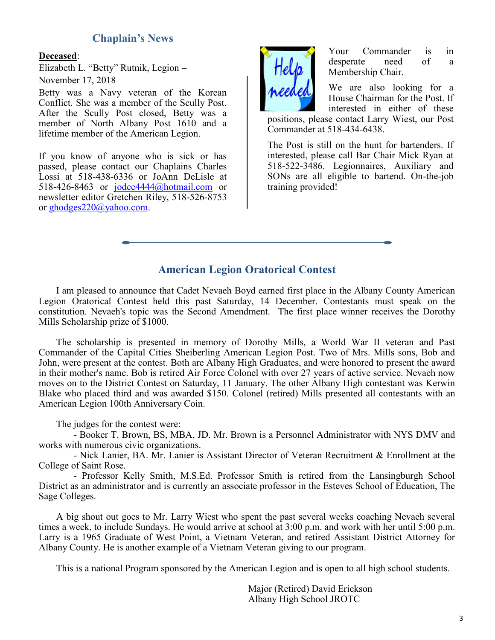# **Chaplain's News**

#### **Deceased**:

Elizabeth L. "Betty" Rutnik, Legion – November 17, 2018

Betty was a Navy veteran of the Korean Conflict. She was a member of the Scully Post. After the Scully Post closed, Betty was a member of North Albany Post 1610 and a lifetime member of the American Legion.

If you know of anyone who is sick or has passed, please contact our Chaplains Charles Lossi at 518-438-6336 or JoAnn DeLisle at 518-426-8463 or [jodee4444@hotmail.com](mailto:jodee4444@hotmail.com) or newsletter editor Gretchen Riley, 518-526-8753 or [ghodges220@yahoo.com.](mailto:ghodges220@yahoo.com)



Your Commander is in desperate need of a Membership Chair.

We are also looking for a House Chairman for the Post. If interested in either of these

positions, please contact Larry Wiest, our Post Commander at 518-434-6438.

The Post is still on the hunt for bartenders. If interested, please call Bar Chair Mick Ryan at 518-522-3486. Legionnaires, Auxiliary and SONs are all eligible to bartend. On-the-job training provided!

# **American Legion Oratorical Contest**

I am pleased to announce that Cadet Nevaeh Boyd earned first place in the Albany County American Legion Oratorical Contest held this past Saturday, 14 December. Contestants must speak on the constitution. Nevaeh's topic was the Second Amendment. The first place winner receives the Dorothy Mills Scholarship prize of \$1000.

The scholarship is presented in memory of Dorothy Mills, a World War II veteran and Past Commander of the Capital Cities Sheiberling American Legion Post. Two of Mrs. Mills sons, Bob and John, were present at the contest. Both are Albany High Graduates, and were honored to present the award in their mother's name. Bob is retired Air Force Colonel with over 27 years of active service. Nevaeh now moves on to the District Contest on Saturday, 11 January. The other Albany High contestant was Kerwin Blake who placed third and was awarded \$150. Colonel (retired) Mills presented all contestants with an American Legion 100th Anniversary Coin.

The judges for the contest were:

 - Booker T. Brown, BS, MBA, JD. Mr. Brown is a Personnel Administrator with NYS DMV and works with numerous civic organizations.

 - Nick Lanier, BA. Mr. Lanier is Assistant Director of Veteran Recruitment & Enrollment at the College of Saint Rose.

 - Professor Kelly Smith, M.S.Ed. Professor Smith is retired from the Lansingburgh School District as an administrator and is currently an associate professor in the Esteves School of Education, The Sage Colleges.

A big shout out goes to Mr. Larry Wiest who spent the past several weeks coaching Nevaeh several times a week, to include Sundays. He would arrive at school at 3:00 p.m. and work with her until 5:00 p.m. Larry is a 1965 Graduate of West Point, a Vietnam Veteran, and retired Assistant District Attorney for Albany County. He is another example of a Vietnam Veteran giving to our program.

This is a national Program sponsored by the American Legion and is open to all high school students.

Major (Retired) David Erickson Albany High School JROTC